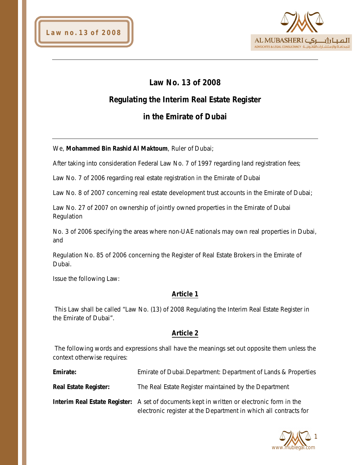

# **Law No. 13 of 2008**

# **Regulating the Interim Real Estate Register**

# **in the Emirate of Dubai**

## We, **Mohammed Bin Rashid Al Maktoum**, Ruler of Dubai;

After taking into consideration Federal Law No. 7 of 1997 regarding land registration fees;

Law No. 7 of 2006 regarding real estate registration in the Emirate of Dubai

Law No. 8 of 2007 concerning real estate development trust accounts in the Emirate of Dubai;

Law No. 27 of 2007 on ownership of jointly owned properties in the Emirate of Dubai Regulation

No. 3 of 2006 specifying the areas where non-UAE nationals may own real properties in Dubai, and

Regulation No. 85 of 2006 concerning the Register of Real Estate Brokers in the Emirate of Dubai.

Issue the following Law:

# **Article 1**

This Law shall be called "Law No. (13) of 2008 Regulating the Interim Real Estate Register in the Emirate of Dubai".

# **Article 2**

The following words and expressions shall have the meanings set out opposite them unless the context otherwise requires:

| Emirate:                     | Emirate of Dubai. Department: Department of Lands & Properties                                                                                                        |
|------------------------------|-----------------------------------------------------------------------------------------------------------------------------------------------------------------------|
| <b>Real Estate Register:</b> | The Real Estate Register maintained by the Department                                                                                                                 |
|                              | <b>Interim Real Estate Register:</b> A set of documents kept in written or electronic form in the<br>electronic register at the Department in which all contracts for |

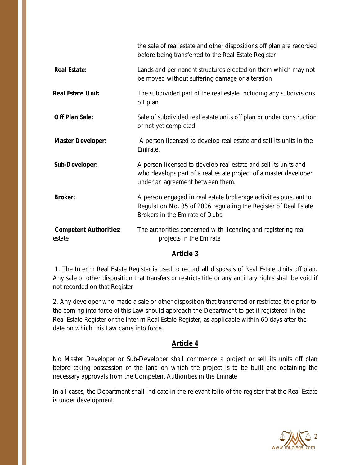|                                         | the sale of real estate and other dispositions off plan are recorded<br>before being transferred to the Real Estate Register                                            |
|-----------------------------------------|-------------------------------------------------------------------------------------------------------------------------------------------------------------------------|
| <b>Real Estate:</b>                     | Lands and permanent structures erected on them which may not<br>be moved without suffering damage or alteration                                                         |
| <b>Real Estate Unit:</b>                | The subdivided part of the real estate including any subdivisions<br>off plan                                                                                           |
| <b>Off Plan Sale:</b>                   | Sale of subdivided real estate units off plan or under construction<br>or not yet completed.                                                                            |
| <b>Master Developer:</b>                | A person licensed to develop real estate and sell its units in the<br>Emirate.                                                                                          |
| Sub-Developer:                          | A person licensed to develop real estate and sell its units and<br>who develops part of a real estate project of a master developer<br>under an agreement between them. |
| <b>Broker:</b>                          | A person engaged in real estate brokerage activities pursuant to<br>Regulation No. 85 of 2006 regulating the Register of Real Estate<br>Brokers in the Emirate of Dubai |
| <b>Competent Authorities:</b><br>estate | The authorities concerned with licencing and registering real<br>projects in the Emirate                                                                                |

# **Article 3**

1. The Interim Real Estate Register is used to record all disposals of Real Estate Units off plan. Any sale or other disposition that transfers or restricts title or any ancillary rights shall be void if not recorded on that Register

2. Any developer who made a sale or other disposition that transferred or restricted title prior to the coming into force of this Law should approach the Department to get it registered in the Real Estate Register or the Interim Real Estate Register, as applicable within 60 days after the date on which this Law came into force.

# **Article 4**

No Master Developer or Sub-Developer shall commence a project or sell its units off plan before taking possession of the land on which the project is to be built and obtaining the necessary approvals from the Competent Authorities in the Emirate

In all cases, the Department shall indicate in the relevant folio of the register that the Real Estate is under development.

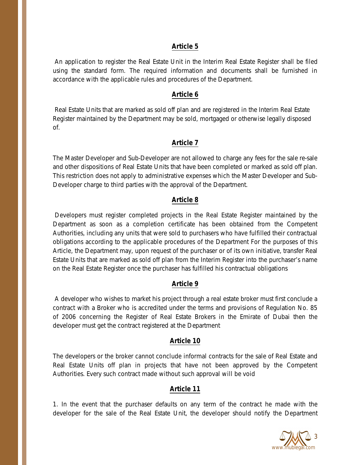### **Article 5**

An application to register the Real Estate Unit in the Interim Real Estate Register shall be filed using the standard form. The required information and documents shall be furnished in accordance with the applicable rules and procedures of the Department.

### **Article 6**

Real Estate Units that are marked as sold off plan and are registered in the Interim Real Estate Register maintained by the Department may be sold, mortgaged or otherwise legally disposed of.

## **Article 7**

The Master Developer and Sub-Developer are not allowed to charge any fees for the sale re-sale and other dispositions of Real Estate Units that have been completed or marked as sold off plan. This restriction does not apply to administrative expenses which the Master Developer and Sub-Developer charge to third parties with the approval of the Department.

## **Article 8**

Developers must register completed projects in the Real Estate Register maintained by the Department as soon as a completion certificate has been obtained from the Competent Authorities, including any units that were sold to purchasers who have fulfilled their contractual obligations according to the applicable procedures of the Department For the purposes of this Article, the Department may, upon request of the purchaser or of its own initiative, transfer Real Estate Units that are marked as sold off plan from the Interim Register into the purchaser's name on the Real Estate Register once the purchaser has fulfilled his contractual obligations

## **Article 9**

A developer who wishes to market his project through a real estate broker must first conclude a contract with a Broker who is accredited under the terms and provisions of Regulation No. 85 of 2006 concerning the Register of Real Estate Brokers in the Emirate of Dubai then the developer must get the contract registered at the Department

## **Article 10**

The developers or the broker cannot conclude informal contracts for the sale of Real Estate and Real Estate Units off plan in projects that have not been approved by the Competent Authorities. Every such contract made without such approval will be void

## **Article 11**

1. In the event that the purchaser defaults on any term of the contract he made with the developer for the sale of the Real Estate Unit, the developer should notify the Department